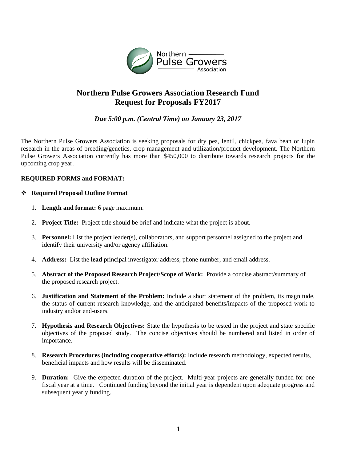

## **Northern Pulse Growers Association Research Fund Request for Proposals FY2017**

*Due 5:00 p.m. (Central Time) on January 23, 2017*

The Northern Pulse Growers Association is seeking proposals for dry pea, lentil, chickpea, fava bean or lupin research in the areas of breeding/genetics, crop management and utilization/product development. The Northern Pulse Growers Association currently has more than \$450,000 to distribute towards research projects for the upcoming crop year.

## **REQUIRED FORMS and FORMAT:**

## **Required Proposal Outline Format**

- 1. **Length and format:** 6 page maximum.
- 2. **Project Title:** Project title should be brief and indicate what the project is about.
- 3. **Personnel:** List the project leader(s), collaborators, and support personnel assigned to the project and identify their university and/or agency affiliation.
- 4. **Address:** List the **lead** principal investigator address, phone number, and email address.
- 5. **Abstract of the Proposed Research Project/Scope of Work:** Provide a concise abstract/summary of the proposed research project.
- 6. **Justification and Statement of the Problem:** Include a short statement of the problem, its magnitude, the status of current research knowledge, and the anticipated benefits/impacts of the proposed work to industry and/or end-users.
- 7. **Hypothesis and Research Objectives:** State the hypothesis to be tested in the project and state specific objectives of the proposed study. The concise objectives should be numbered and listed in order of importance.
- 8. **Research Procedures (including cooperative efforts):** Include research methodology, expected results, beneficial impacts and how results will be disseminated.
- 9. **Duration:** Give the expected duration of the project. Multi-year projects are generally funded for one fiscal year at a time. Continued funding beyond the initial year is dependent upon adequate progress and subsequent yearly funding.